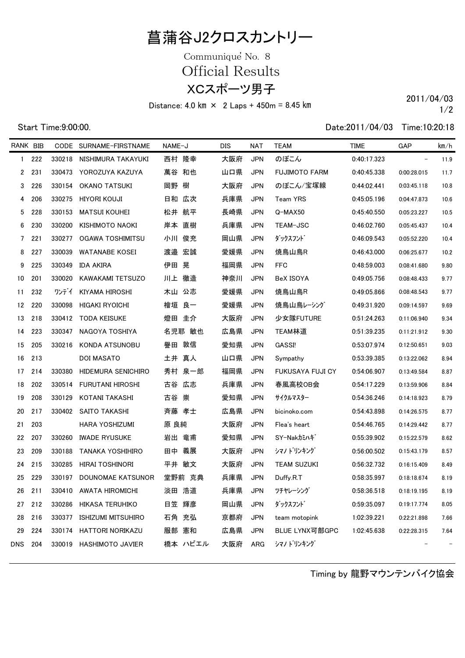## 菖蒲谷J2クロスカントリー

XCスポーツ男子 Communique<sup>'</sup> No. 8 Official Results

Distance:  $4.0 \text{ km} \times 2 \text{ Laps} + 450 \text{ m} = 8.45 \text{ km}$  2011/04/03

1/2

Start Time:9:00:00. Date:2011/04/03 Time:10:20:18

| RANK BIB     |       |        | CODE SURNAME-FIRSTNAME    | NAME-J   | DIS | NAT        | <b>TEAM</b>          | <b>TIME</b> | GAP                      | km/h              |
|--------------|-------|--------|---------------------------|----------|-----|------------|----------------------|-------------|--------------------------|-------------------|
| $\mathbf{1}$ | 222   | 330218 | NISHIMURA TAKAYUKI        | 西村 隆幸    | 大阪府 | <b>JPN</b> | のぼこん                 | 0:40:17.323 | $\overline{\phantom{m}}$ | 11.9              |
|              | 2 231 |        | 330473 YOROZUYA KAZUYA    | 萬谷 和也    | 山口県 | <b>JPN</b> | <b>FUJIMOTO FARM</b> | 0:40:45.338 | 0:00:28.015              | 11.7              |
| 3            | 226   | 330154 | <b>OKANO TATSUKI</b>      | 岡野 樹     | 大阪府 | <b>JPN</b> | のぼこん/宝塚線             | 0:44:02.441 | 0:03:45.118              | 10.8              |
| 4            | 206   | 330275 | HIYORI KOUJI              | 日和 広次    | 兵庫県 | <b>JPN</b> | Team YRS             | 0:45:05.196 | 0:04:47.873              | 10.6              |
| 5            | 228   | 330153 | <b>MATSUI KOUHEI</b>      | 松井 航平    | 長崎県 | <b>JPN</b> | Q-MAX50              | 0:45:40.550 | 0:05:23.227              | 10.5              |
| 6            | 230   | 330200 | KISHIMOTO NAOKI           | 岸本<br>直樹 | 兵庫県 | <b>JPN</b> | TEAM-JSC             | 0:46:02.760 | 0:05:45.437              | 10.4              |
| 7            | 221   | 330277 | OGAWA TOSHIMITSU          | 小川 俊充    | 岡山県 | <b>JPN</b> | ダックスフント゛             | 0:46:09.543 | 0:05:52.220              | 10.4              |
| 8            | 227   | 330039 | WATANABE KOSEI            | 渡邉 宏誠    | 愛媛県 | <b>JPN</b> | 焼鳥山鳥R                | 0:46:43.000 | 0:06:25.677              | 10.2              |
| 9            | 225   | 330349 | IDA AKIRA                 | 伊田 晃     | 福岡県 | <b>JPN</b> | <b>FFC</b>           | 0:48:59.003 | 0:08:41.680              | 9.80              |
| 10           | 201   | 330020 | KAWAKAMI TETSUZO          | 川上 徹造    | 神奈川 | <b>JPN</b> | BeX ISOYA            | 0:49:05.756 | 0:08:48.433              | 9.77              |
| 11           | 232   | ワンデイ   | KIYAMA HIROSHI            | 木山 公志    | 愛媛県 | <b>JPN</b> | 焼鳥山鳥R                | 0:49:05.866 | 0:08:48.543              | 9.77              |
| 12           | 220   | 330098 | <b>HIGAKI RYOICHI</b>     | 檜垣 良一    | 愛媛県 | <b>JPN</b> | 焼鳥山鳥レーシング            | 0:49:31.920 | 0:09:14.597              | 9.69              |
| 13           | 218   | 330412 | TODA KEISUKE              | 燈田 圭介    | 大阪府 | <b>JPN</b> | 少女隊FUTURE            | 0:51:24.263 | 0:11:06.940              | 9.34              |
| 14           | 223   | 330347 | NAGOYA TOSHIYA            | 名児耶 敏也   | 広島県 | <b>JPN</b> | TEAM林道               | 0:51:39.235 | 0:11:21.912              | 9.30              |
| 15           | 205   | 330216 | KONDA ATSUNOBU            | 譽田 敦信    | 愛知県 | <b>JPN</b> | GASSI!               | 0:53:07.974 | 0:12:50.651              | 9.03              |
| 16           | 213   |        | DOI MASATO                | 土井 真人    | 山口県 | <b>JPN</b> | Sympathy             | 0:53:39.385 | 0:13:22.062              | 8.94              |
| 17           | 214   | 330380 | HIDEMURA SENICHIRO        | 秀村 泉一郎   | 福岡県 | <b>JPN</b> | FUKUSAYA FUJI CY     | 0:54:06.907 | 0:13:49.584              | 8.87              |
| 18           | 202   | 330514 | FURUTANI HIROSHI          | 古谷<br>広志 | 兵庫県 | <b>JPN</b> | 春風高校OB会              | 0:54:17.229 | 0:13:59.906              | 8.84              |
| 19           | 208   | 330129 | KOTANI TAKASHI            | 古谷 崇     | 愛知県 | <b>JPN</b> | サイクルマスター             | 0:54:36.246 | 0:14:18.923              | 8.79              |
| 20           | 217   | 330402 | SAITO TAKASHI             | 斉藤 孝士    | 広島県 | JPN        | bicinoko.com         | 0:54:43.898 | 0:14:26.575              | 8.77              |
| 21           | 203   |        | HARA YOSHIZUMI            | 原 良純     | 大阪府 | <b>JPN</b> | Flea's heart         | 0:54:46.765 | 0:14:29.442              | 8.77              |
| 22           | 207   | 330260 | <b>IWADE RYUSUKE</b>      | 岩出 竜甫    | 愛知県 | <b>JPN</b> | SY-Nakカミハギ           | 0:55:39.902 | 0:15:22.579              | 8.62              |
| 23           | 209   | 330188 | <b>TANAKA YOSHIHIRO</b>   | 義展<br>田中 | 大阪府 | <b>JPN</b> | シマノトリンキング            | 0:56:00.502 | 0:15:43.179              | 8.57              |
| 24           | 215   | 330285 | <b>HIRAI TOSHINORI</b>    | 平井 敏文    | 大阪府 | <b>JPN</b> | TEAM SUZUKI          | 0:56:32.732 | 0:16:15.409              | 8.49              |
| 25           | 229   | 330197 | DOUNOMAE KATSUNOR         | 堂野前 克典   | 兵庫県 | <b>JPN</b> | Duffy.R.T            | 0:58:35.997 | 0:18:18.674              | 8.19              |
| 26           | 211   |        | 330410 AWATA HIROMICHI    | 淡田 浩道    | 兵庫県 | JPN        | ツチヤレーシンク             | 0:58:36.518 | 0:18:19.195              | 8.19              |
| 27           | 212   | 330286 | HIKASA TERUHIKO           | 日笠 輝彦    | 岡山県 | <b>JPN</b> | ダックスフント゛             | 0:59:35.097 | 0:19:17.774              | 8.05              |
| 28           | 216   | 330377 | <b>ISHIZUMI MITSUHIRO</b> | 石角 充弘    | 京都府 | <b>JPN</b> | team motopink        | 1:02:39.221 | 0:22:21.898              | 7.66              |
| 29           | 224   | 330174 | HATTORI NORIKAZU          | 服部 憲和    | 広島県 | <b>JPN</b> | BLUE LYNX可部GPC       | 1:02:45.638 | 0:22:28.315              | 7.64              |
| <b>DNS</b>   | 204   | 330019 | HASHIMOTO JAVIER          | 橋本 ハビエル  | 大阪府 | ARG        | シマノトリンキング            |             |                          | $\qquad \qquad -$ |

Timing by 龍野マウンテンバイク協会